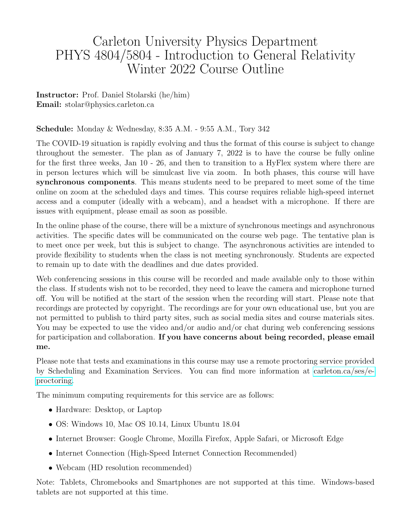# Carleton University Physics Department PHYS 4804/5804 - Introduction to General Relativity Winter 2022 Course Outline

Instructor: Prof. Daniel Stolarski (he/him) Email: stolar@physics.carleton.ca

#### Schedule: Monday & Wednesday, 8:35 A.M. - 9:55 A.M., Tory 342

The COVID-19 situation is rapidly evolving and thus the format of this course is subject to change throughout the semester. The plan as of January 7, 2022 is to have the course be fully online for the first three weeks, Jan 10 - 26, and then to transition to a HyFlex system where there are in person lectures which will be simulcast live via zoom. In both phases, this course will have synchronous components. This means students need to be prepared to meet some of the time online on zoom at the scheduled days and times. This course requires reliable high-speed internet access and a computer (ideally with a webcam), and a headset with a microphone. If there are issues with equipment, please email as soon as possible.

In the online phase of the course, there will be a mixture of synchronous meetings and asynchronous activities. The specific dates will be communicated on the course web page. The tentative plan is to meet once per week, but this is subject to change. The asynchronous activities are intended to provide flexibility to students when the class is not meeting synchronously. Students are expected to remain up to date with the deadlines and due dates provided.

Web conferencing sessions in this course will be recorded and made available only to those within the class. If students wish not to be recorded, they need to leave the camera and microphone turned off. You will be notified at the start of the session when the recording will start. Please note that recordings are protected by copyright. The recordings are for your own educational use, but you are not permitted to publish to third party sites, such as social media sites and course materials sites. You may be expected to use the video and/or audio and/or chat during web conferencing sessions for participation and collaboration. If you have concerns about being recorded, please email me.

Please note that tests and examinations in this course may use a remote proctoring service provided by Scheduling and Examination Services. You can find more information at [carleton.ca/ses/e](https://carleton.ca/ses/e-proctoring/)[proctoring.](https://carleton.ca/ses/e-proctoring/)

The minimum computing requirements for this service are as follows:

- Hardware: Desktop, or Laptop
- OS: Windows 10, Mac OS 10.14, Linux Ubuntu 18.04
- Internet Browser: Google Chrome, Mozilla Firefox, Apple Safari, or Microsoft Edge
- Internet Connection (High-Speed Internet Connection Recommended)
- Webcam (HD resolution recommended)

Note: Tablets, Chromebooks and Smartphones are not supported at this time. Windows-based tablets are not supported at this time.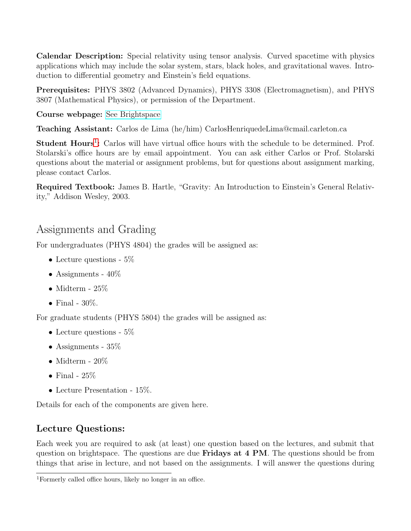Calendar Description: Special relativity using tensor analysis. Curved spacetime with physics applications which may include the solar system, stars, black holes, and gravitational waves. Introduction to differential geometry and Einstein's field equations.

Prerequisites: PHYS 3802 (Advanced Dynamics), PHYS 3308 (Electromagnetism), and PHYS 3807 (Mathematical Physics), or permission of the Department.

Course webpage: [See Brightspace](https://carleton.brightspace.com)

Teaching Assistant: Carlos de Lima (he/him) CarlosHenriquedeLima@cmail.carleton.ca

Student Hours<sup>[1](#page-1-0)</sup>: Carlos will have virtual office hours with the schedule to be determined. Prof. Stolarski's office hours are by email appointment. You can ask either Carlos or Prof. Stolarski questions about the material or assignment problems, but for questions about assignment marking, please contact Carlos.

Required Textbook: James B. Hartle, "Gravity: An Introduction to Einstein's General Relativity," Addison Wesley, 2003.

## Assignments and Grading

For undergraduates (PHYS 4804) the grades will be assigned as:

- Lecture questions  $5\%$
- Assignments  $40\%$
- Midterm  $25\%$
- Final  $30\%$ .

For graduate students (PHYS 5804) the grades will be assigned as:

- Lecture questions  $5\%$
- Assignments 35%
- Midterm  $20\%$
- Final  $25\%$
- Lecture Presentation 15%.

Details for each of the components are given here.

## Lecture Questions:

Each week you are required to ask (at least) one question based on the lectures, and submit that question on brightspace. The questions are due Fridays at 4 PM. The questions should be from things that arise in lecture, and not based on the assignments. I will answer the questions during

<span id="page-1-0"></span><sup>1</sup>Formerly called office hours, likely no longer in an office.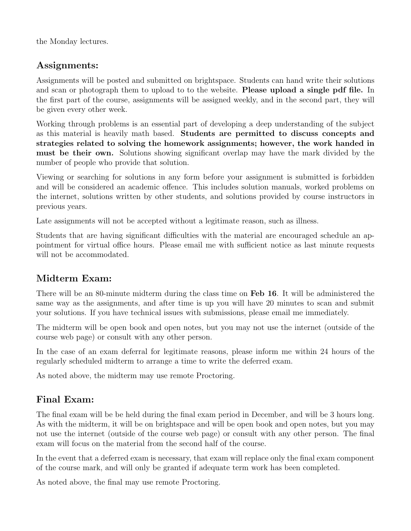the Monday lectures.

### Assignments:

Assignments will be posted and submitted on brightspace. Students can hand write their solutions and scan or photograph them to upload to to the website. Please upload a single pdf file. In the first part of the course, assignments will be assigned weekly, and in the second part, they will be given every other week.

Working through problems is an essential part of developing a deep understanding of the subject as this material is heavily math based. Students are permitted to discuss concepts and strategies related to solving the homework assignments; however, the work handed in must be their own. Solutions showing significant overlap may have the mark divided by the number of people who provide that solution.

Viewing or searching for solutions in any form before your assignment is submitted is forbidden and will be considered an academic offence. This includes solution manuals, worked problems on the internet, solutions written by other students, and solutions provided by course instructors in previous years.

Late assignments will not be accepted without a legitimate reason, such as illness.

Students that are having significant difficulties with the material are encouraged schedule an appointment for virtual office hours. Please email me with sufficient notice as last minute requests will not be accommodated.

### Midterm Exam:

There will be an 80-minute midterm during the class time on **Feb 16**. It will be administered the same way as the assignments, and after time is up you will have 20 minutes to scan and submit your solutions. If you have technical issues with submissions, please email me immediately.

The midterm will be open book and open notes, but you may not use the internet (outside of the course web page) or consult with any other person.

In the case of an exam deferral for legitimate reasons, please inform me within 24 hours of the regularly scheduled midterm to arrange a time to write the deferred exam.

As noted above, the midterm may use remote Proctoring.

## Final Exam:

The final exam will be be held during the final exam period in December, and will be 3 hours long. As with the midterm, it will be on brightspace and will be open book and open notes, but you may not use the internet (outside of the course web page) or consult with any other person. The final exam will focus on the material from the second half of the course.

In the event that a deferred exam is necessary, that exam will replace only the final exam component of the course mark, and will only be granted if adequate term work has been completed.

As noted above, the final may use remote Proctoring.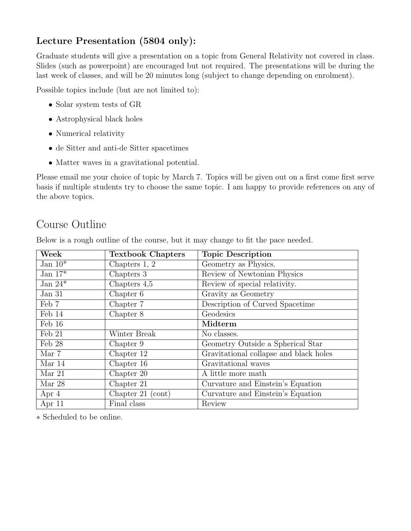## Lecture Presentation (5804 only):

Graduate students will give a presentation on a topic from General Relativity not covered in class. Slides (such as powerpoint) are encouraged but not required. The presentations will be during the last week of classes, and will be 20 minutes long (subject to change depending on enrolment).

Possible topics include (but are not limited to):

- Solar system tests of GR
- Astrophysical black holes
- Numerical relativity
- de Sitter and anti-de Sitter spacetimes
- Matter waves in a gravitational potential.

Please email me your choice of topic by March 7. Topics will be given out on a first come first serve basis if multiple students try to choose the same topic. I am happy to provide references on any of the above topics.

## Course Outline

| Week       | <b>Textbook Chapters</b> | <b>Topic Description</b>               |  |
|------------|--------------------------|----------------------------------------|--|
| Jan $10^*$ | Chapters 1, 2            | Geometry as Physics.                   |  |
| Jan $17^*$ | Chapters 3               | Review of Newtonian Physics            |  |
| Jan $24*$  | Chapters $4,5$           | Review of special relativity.          |  |
| Jan 31     | Chapter 6                | Gravity as Geometry                    |  |
| Feb 7      | Chapter 7                | Description of Curved Spacetime        |  |
| Feb 14     | Chapter 8                | Geodesics                              |  |
| Feb 16     |                          | Midterm                                |  |
| Feb 21     | Winter Break             | No classes.                            |  |
| Feb 28     | Chapter 9                | Geometry Outside a Spherical Star      |  |
| Mar 7      | Chapter 12               | Gravitational collapse and black holes |  |
| Mar 14     | Chapter 16               | Gravitational waves                    |  |
| Mar $21$   | Chapter 20               | A little more math                     |  |
| Mar 28     | Chapter 21               | Curvature and Einstein's Equation      |  |
| Apr $4$    | Chapter $21$ (cont)      | Curvature and Einstein's Equation      |  |
| Apr 11     | Final class              | Review                                 |  |

Below is a rough outline of the course, but it may change to fit the pace needed.

∗ Scheduled to be online.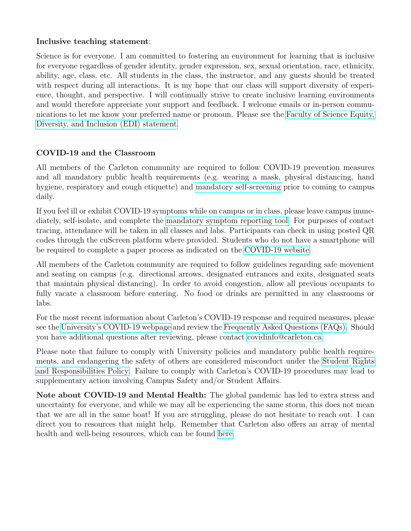#### Inclusive teaching statement:

Science is for everyone. I am committed to fostering an environment for learning that is inclusive for everyone regardless of gender identity, gender expression, sex, sexual orientation, race, ethnicity, ability, age, class, etc. All students in the class, the instructor, and any guests should be treated with respect during all interactions. It is my hope that our class will support diversity of experience, thought, and perspective. I will continually strive to create inclusive learning environments and would therefore appreciate your support and feedback. I welcome emails or in-person communications to let me know your preferred name or pronoun. Please see the [Faculty of Science Equity,](https://science.carleton.ca/about/edi/) [Diversity, and Inclusion \(EDI\) statement.](https://science.carleton.ca/about/edi/)

#### COVID-19 and the Classroom

All members of the Carleton community are required to follow COVID-19 prevention measures and all mandatory public health requirements (e.g. wearing a mask, physical distancing, hand hygiene, respiratory and cough etiquette) and [mandatory self-screening](https://carleton.ca/covid19/screening/) prior to coming to campus daily.

If you feel ill or exhibit COVID-19 symptoms while on campus or in class, please leave campus immediately, self-isolate, and complete the [mandatory symptom reporting tool.](https://carleton.ca/covid19/covid-19-symptom-reporting/) For purposes of contact tracing, attendance will be taken in all classes and labs. Participants can check in using posted QR codes through the cuScreen platform where provided. Students who do not have a smartphone will be required to complete a paper process as indicated on the [COVID-19 website.](http://carleton.ca/covid19)

All members of the Carleton community are required to follow guidelines regarding safe movement and seating on campus (e.g. directional arrows, designated entrances and exits, designated seats that maintain physical distancing). In order to avoid congestion, allow all previous occupants to fully vacate a classroom before entering. No food or drinks are permitted in any classrooms or labs.

For the most recent information about Carleton's COVID-19 response and required measures, please see the [University's COVID-19 webpage](https://carleton.ca/covid19/) and review the [Frequently Asked Questions \(FAQs\).](https://carleton.ca/covid19/faq/) Should you have additional questions after reviewing, please contact [covidinfo@carleton.ca](mailto:covidinfo@carleton.ca)

Please note that failure to comply with University policies and mandatory public health requirements, and endangering the safety of others are considered misconduct under the [Student Rights](https://carleton.ca/studentaffairs/student-rights-and-responsibilities/) [and Responsibilities Policy.](https://carleton.ca/studentaffairs/student-rights-and-responsibilities/) Failure to comply with Carleton's COVID-19 procedures may lead to supplementary action involving Campus Safety and/or Student Affairs.

Note about COVID-19 and Mental Health: The global pandemic has led to extra stress and uncertainty for everyone, and while we may all be experiencing the same storm, this does not mean that we are all in the same boat! If you are struggling, please do not hesitate to reach out. I can direct you to resources that might help. Remember that Carleton also offers an array of mental health and well-being resources, which can be found [here.](https://carleton.ca/wellness/)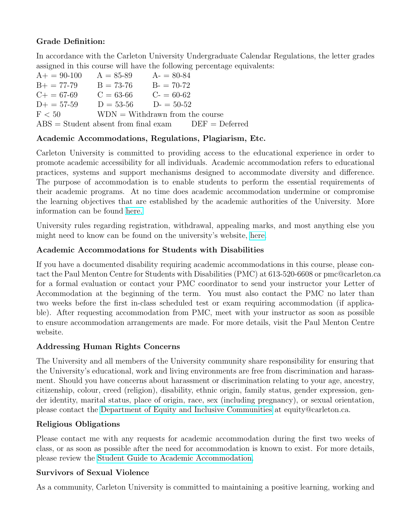#### Grade Definition:

In accordance with the Carleton University Undergraduate Calendar Regulations, the letter grades assigned in this course will have the following percentage equivalents:

| $A+ = 90-100$                                 | $A = 85 - 89$                      | $A = 80-84$   |                  |
|-----------------------------------------------|------------------------------------|---------------|------------------|
| $B+=77-79$                                    | $B = 73-76$                        | $B = 70-72$   |                  |
| $C+=67-69$                                    | $C = 63-66$                        | $C_7 = 60-62$ |                  |
| $D+=57-59$                                    | $D = 53-56$ $D = 50-52$            |               |                  |
| F < 50                                        | $WDN = With drawn from the course$ |               |                  |
| $\text{ABS} =$ Student absent from final exam |                                    |               | $DEF = Deferred$ |

#### Academic Accommodations, Regulations, Plagiarism, Etc.

Carleton University is committed to providing access to the educational experience in order to promote academic accessibility for all individuals. Academic accommodation refers to educational practices, systems and support mechanisms designed to accommodate diversity and difference. The purpose of accommodation is to enable students to perform the essential requirements of their academic programs. At no time does academic accommodation undermine or compromise the learning objectives that are established by the academic authorities of the University. More information can be found [here.](https://students.carleton.ca/course- outline/)

University rules regarding registration, withdrawal, appealing marks, and most anything else you might need to know can be found on the university's website, [here.](https://calendar.carleton.ca/undergrad/regulations/academicregulationsoftheuniversity/)

#### Academic Accommodations for Students with Disabilities

If you have a documented disability requiring academic accommodations in this course, please contact the Paul Menton Centre for Students with Disabilities (PMC) at 613-520-6608 or pmc@carleton.ca for a formal evaluation or contact your PMC coordinator to send your instructor your Letter of Accommodation at the beginning of the term. You must also contact the PMC no later than two weeks before the first in-class scheduled test or exam requiring accommodation (if applicable). After requesting accommodation from PMC, meet with your instructor as soon as possible to ensure accommodation arrangements are made. For more details, visit the Paul Menton Centre website.

#### Addressing Human Rights Concerns

The University and all members of the University community share responsibility for ensuring that the University's educational, work and living environments are free from discrimination and harassment. Should you have concerns about harassment or discrimination relating to your age, ancestry, citizenship, colour, creed (religion), disability, ethnic origin, family status, gender expression, gender identity, marital status, place of origin, race, sex (including pregnancy), or sexual orientation, please contact the [Department of Equity and Inclusive Communities](https://carelton.ca/equity) at equity@carleton.ca.

#### Religious Obligations

Please contact me with any requests for academic accommodation during the first two weeks of class, or as soon as possible after the need for accommodation is known to exist. For more details, please review the [Student Guide to Academic Accommodation.](https://carleton.ca/equity/wp-content/uploads/Student-Guide-to-Academic-Accommodation.pdf)

#### Survivors of Sexual Violence

As a community, Carleton University is committed to maintaining a positive learning, working and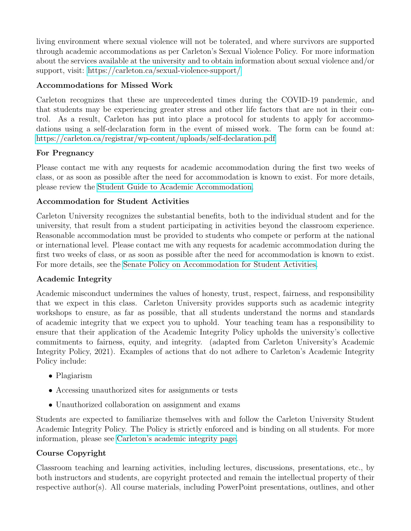living environment where sexual violence will not be tolerated, and where survivors are supported through academic accommodations as per Carleton's Sexual Violence Policy. For more information about the services available at the university and to obtain information about sexual violence and/or support, visit:<https://carleton.ca/sexual-violence-support/>

#### Accommodations for Missed Work

Carleton recognizes that these are unprecedented times during the COVID-19 pandemic, and that students may be experiencing greater stress and other life factors that are not in their control. As a result, Carleton has put into place a protocol for students to apply for accommodations using a self-declaration form in the event of missed work. The form can be found at: <https://carleton.ca/registrar/wp-content/uploads/self-declaration.pdf>

#### For Pregnancy

Please contact me with any requests for academic accommodation during the first two weeks of class, or as soon as possible after the need for accommodation is known to exist. For more details, please review the [Student Guide to Academic Accommodation.](https://carleton.ca/equity/wp-content/uploads/Student-Guide-to-Academic-Accommodation.pdf)

#### Accommodation for Student Activities

Carleton University recognizes the substantial benefits, both to the individual student and for the university, that result from a student participating in activities beyond the classroom experience. Reasonable accommodation must be provided to students who compete or perform at the national or international level. Please contact me with any requests for academic accommodation during the first two weeks of class, or as soon as possible after the need for accommodation is known to exist. For more details, see the [Senate Policy on Accommodation for Student Activities.](https://carleton.ca/senate/wp-content/uploads/Accommodation-for-Student-Activities-1.pdf)

#### Academic Integrity

Academic misconduct undermines the values of honesty, trust, respect, fairness, and responsibility that we expect in this class. Carleton University provides supports such as academic integrity workshops to ensure, as far as possible, that all students understand the norms and standards of academic integrity that we expect you to uphold. Your teaching team has a responsibility to ensure that their application of the Academic Integrity Policy upholds the university's collective commitments to fairness, equity, and integrity. (adapted from Carleton University's Academic Integrity Policy, 2021). Examples of actions that do not adhere to Carleton's Academic Integrity Policy include:

- Plagiarism
- Accessing unauthorized sites for assignments or tests
- Unauthorized collaboration on assignment and exams

Students are expected to familiarize themselves with and follow the Carleton University Student Academic Integrity Policy. The Policy is strictly enforced and is binding on all students. For more information, please see [Carleton's academic integrity page.](https://carleton.ca/registrar/academic-integrity/)

#### Course Copyright

Classroom teaching and learning activities, including lectures, discussions, presentations, etc., by both instructors and students, are copyright protected and remain the intellectual property of their respective author(s). All course materials, including PowerPoint presentations, outlines, and other